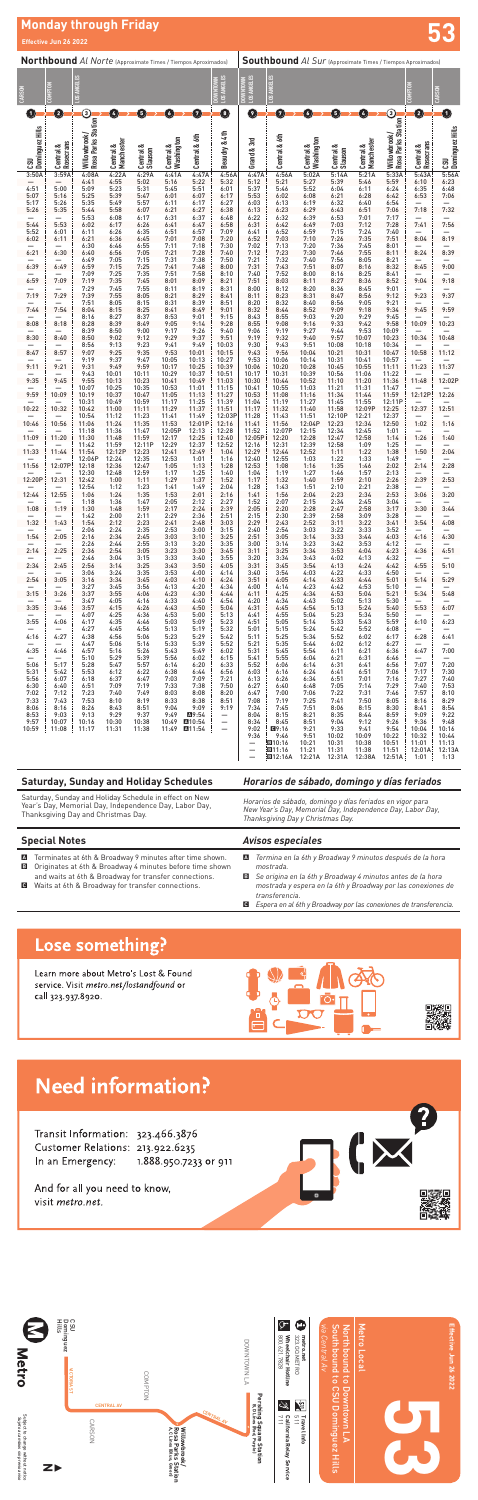

Saturday, Sunday and Holiday Schedule in effect on New Year's Day, Memorial Day, Independence Day, Labor Day, Thanksgiving Day and Christmas Day.

*Horarios de sábado, domingo y días feriados en vigor para New Year's Day, Memorial Day, Independence Day, Labor Day, Thanksgiving Day y Christmas Day.*

### *Avisos especiales*

- A Terminates at 6th & Broadway 9 minutes after time shown.
- B Originates at 6th & Broadway 4 minutes before time shown
- and waits at 6th & Broadway for transfer connections.
- C Waits at 6th & Broadway for transfer connections.
- A *Termina en la 6th y Broadway 9 minutos después de la hora mostrada.*
- B *Se origina en la 6th y Broadway 4 minutos antes de la hora mostrada y espera en la 6th y Broadway por las conexiones de transferencia.*
- C *Espera en al 6th y Broadway por las conexiones de transferencia.*

## Lose something?

Learn more about Metro's Lost & Found service. Visit metro.net/lostandfound or call 323.937.8920.





# **Need information?**

Transit Information: 323.466.3876 Customer Relations: 213.922.6235 In an Emergency: 1.888.950.7233 or 911

And for all you need to know, visit metro.net.

|                                                                                              |                        |                                      |                         |                      |                         |                  |                                                      |                                    | <b>Southbound</b> Al Sur (Approximate Times / Tiempos Aproximados) |                         |                      |                         |                      |                        |                        |
|----------------------------------------------------------------------------------------------|------------------------|--------------------------------------|-------------------------|----------------------|-------------------------|------------------|------------------------------------------------------|------------------------------------|--------------------------------------------------------------------|-------------------------|----------------------|-------------------------|----------------------|------------------------|------------------------|
| Northbound Al Norte (Approximate Times / Tiempos Aproximados)                                |                        |                                      |                         |                      |                         |                  |                                                      |                                    |                                                                    |                         |                      |                         |                      |                        |                        |
| CARSON                                                                                       | Ĕ                      | <b>NGELES</b>                        |                         |                      |                         |                  | DOWNTOWN<br>LOS ANGELES                              | <b>LOS ANGELES</b><br><b>NTOWN</b> | .0S A NGELES                                                       |                         |                      |                         |                      | <b>COMPTON</b>         | <b>CARSON</b>          |
|                                                                                              | ξ                      | $.0$ SA                              |                         |                      |                         |                  |                                                      | ă                                  |                                                                    |                         |                      |                         |                      |                        |                        |
| $\mathbf{1}$                                                                                 | 0                      | ⊚                                    | Ø                       | 0                    | O                       | Ø                | $\mathbf 0$                                          | O                                  | Ø                                                                  | O                       | 0                    | $\bullet$               | ➀                    | Ø                      | $\mathbf 0$            |
| Dominguez Hills                                                                              |                        | Willowbrook/ (<br>Rosa Parks Station |                         |                      |                         |                  |                                                      |                                    |                                                                    |                         |                      |                         | Rosa Parks Station   |                        | <b>Dominguez Hills</b> |
|                                                                                              |                        |                                      |                         |                      |                         |                  | Beaudry & 4th                                        |                                    |                                                                    |                         |                      |                         |                      |                        |                        |
| යි                                                                                           | Rosecrans<br>Central & |                                      | Central &<br>Manchester | Central &<br>Slauson | Central &<br>Washington | Central & 6th    |                                                      | Grand & 3rd                        | Central & 6th                                                      | Central &<br>Washington | Central &<br>Slauson | Central &<br>Manchester | Willowbrook/         | Central &<br>Rosecrans | ເຮນ                    |
| 3:50A                                                                                        | 3:59A                  | 4:08A<br>4:41                        | 4:22A<br>4:55           | 4:29A<br>5:02        | 4:41A<br>5:16           | 4:47A<br>5:22    | 4:56A<br>5:32                                        | 4:47A<br>5:12                      | 4:56A<br>5:21                                                      | 5:02A<br>5:27           | 5:14A<br>5:39        | 5:21A<br>5:46           | 5:33A<br>5:59        | 5:43A<br>6:10          | 5:56A<br>6:23          |
| 4:51<br>5:07                                                                                 | 5:00<br>5:16           | 5:09<br>5:25                         | 5:23<br>5:39            | 5:31<br>5:47         | 5:45<br>6:01            | 5:51<br>6:07     | 6:01<br>6:17                                         | 5:37<br>5:53                       | 5:46<br>6:02                                                       | 5:52<br>6:08            | 6:04<br>6:21         | 6:11<br>6:28            | 6:24<br>6:42         | 6:35<br>6:53           | 6:48<br>7:06           |
| 5:17<br>5:26                                                                                 | 5:26<br>5:35           | 5:35<br>5:44                         | 5:49<br>5:58            | 5:57<br>6:07         | 6:11<br>6:21            | 6:17<br>6:27     | 6:27<br>6:38                                         | 6:03<br>6:13                       | 6:13<br>6:23                                                       | 6:19<br>6:29            | 6:32<br>6:43         | 6:40<br>6:51            | 6:54<br>7:06         | 7:18                   | 7:32                   |
| 5:44                                                                                         | 5:53                   | 5:53<br>6:02                         | 6:08<br>6:17            | 6:17<br>6:26         | 6:31<br>6:41            | 6:37<br>6:47     | 6:48<br>6:58                                         | 6:22<br>6:31                       | 6:32<br>6:42                                                       | 6:39<br>6:49            | 6:53<br>7:03         | 7:01<br>7:12            | 7:17<br>7:28         | 7:41                   | 7:56                   |
| 5:52<br>6:02                                                                                 | 6:01                   | 6:11<br>6:21                         | 6:26<br>6:36            | 6:35<br>6:45         | 6:51<br>7:01            | 6:57<br>7:08     | 7:09<br>7:20                                         | 6:41<br>6:52                       | 6:52<br>7:03                                                       | 6:59<br>7:10            | 7:15<br>7:26         | 7:24<br>7:35            | 7:40<br>7:51         | 8:04                   | 8:19                   |
|                                                                                              | 6:11                   | 6:30                                 | 6:46                    | 6:55                 | 7:11                    | 7:18             | 7:30                                                 | 7:02                               | 7:13                                                               | 7:20                    | 7:36                 | 7:45                    | 8:01                 |                        |                        |
| 6:21                                                                                         | 6:30                   | 6:40<br>6:49                         | 6:56<br>7:05            | 7:05<br>7:15         | 7:21<br>7:31            | 7:28<br>7:38     | 7:40<br>7:50                                         | 7:12<br>7:21                       | 7:23<br>7:32                                                       | 7:30<br>7:40            | 7:46<br>7:56         | 7:55<br>8:05            | 8:11<br>8:21         | 8:24                   | 8:39                   |
| 6:39                                                                                         | 6:49                   | 6:59<br>7:09                         | 7:15<br>7:25            | 7:25<br>7:35         | 7:41<br>7:51            | 7:48<br>7:58     | 8:00<br>8:10                                         | 7:31<br>7:40                       | 7:43<br>7:52                                                       | 7:51<br>8:00            | 8:07<br>8:16         | 8:16<br>8:25            | 8:32<br>8:41         | 8:45                   | 9:00                   |
| 6:59                                                                                         | 7:09                   | 7:19<br>7:29                         | 7:35<br>7:45            | 7:45<br>7:55         | 8:01<br>8:11            | 8:09<br>8:19     | 8:21<br>8:31                                         | 7:51<br>8:00                       | 8:03<br>8:12                                                       | 8:11<br>8:20            | 8:27<br>8:36         | 8:36<br>8:45            | 8:52<br>9:01         | 9:04                   | 9:18                   |
| 7:19                                                                                         | 7:29                   | 7:39<br>7:51                         | 7:55<br>8:05            | 8:05<br>8:15         | 8:21<br>8:31            | 8:29<br>8:39     | 8:41<br>8:51                                         | 8:11<br>8:20                       | 8:23<br>8:32                                                       | 8:31<br>8:40            | 8:47<br>8:56         | 8:56<br>9:05            | 9:12<br>9:21         | 9:23                   | 9:37                   |
| 7:44                                                                                         | 7:54                   | 8:04<br>8:16                         | 8:15<br>8:27            | 8:25<br>8:37         | 8:41<br>8:53            | 8:49<br>9:01     | 9:01<br>9:15                                         | 8:32<br>8:43                       | 8:44<br>8:55                                                       | 8:52<br>9:03            | 9:09<br>9:20         | 9:18<br>9:29            | 9:34<br>9:45         | 9:45                   | 9:59                   |
| 8:08                                                                                         | 8:18                   | 8:28<br>8:39                         | 8:39<br>8:50            | 8:49<br>9:00         | 9:05<br>9:17            | 9:14<br>9:26     | 9:28<br>9:40                                         | 8:55<br>9:06                       | 9:08<br>9:19                                                       | 9:16<br>9:27            | 9:33<br>9:44         | 9:42<br>9:53            | 9:58<br>10:09        | 10:09                  | 10:23                  |
| 8:30                                                                                         | 8:40                   | 8:50<br>8:56                         | 9:02<br>9:13            | 9:12<br>9:23         | 9:29<br>9:41            | 9:37<br>9:49     | 9:51<br>10:03                                        | 9:19<br>9:30                       | 9:32<br>9:43                                                       | 9:40<br>9:51            | 9:57<br>10:08        | 10:07<br>10:18          | 10:23<br>10:34       | 10:34                  | 10:48                  |
| 8:47                                                                                         | 8:57                   | 9:07<br>9:19                         | 9:25<br>9:37            | 9:35<br>9:47         | 9:53<br>10:05           | 10:01<br>10:13   | 10:15<br>10:27                                       | 9:43<br>9:53                       | 9:56<br>10:06                                                      | 10:04<br>10:14          | 10:21<br>10:31       | 10:31<br>10:41          | 10:47<br>10:57       | 10:58                  | 11:12                  |
| 9:11                                                                                         | 9:21                   | 9:31<br>9:43                         | 9:49<br>10:01           | 9:59<br>10:11        | 10:17<br>10:29          | 10:25<br>10:37   | 10:39<br>10:51                                       | 10:06<br>10:17                     | 10:20<br>10:31                                                     | 10:28<br>10:39          | 10:45<br>10:56       | 10:55<br>11:06          | 11:11<br>11:22       | 11:23                  | 11:37                  |
| 9:35                                                                                         | 9:45                   | 9:55<br>10:07                        | 10:13<br>10:25          | 10:23<br>10:35       | 10:41<br>10:53          | 10:49<br>11:01   | 11:03<br>11:15                                       | 10:30<br>10:41                     | 10:44<br>10:55                                                     | 10:52<br>11:03          | 11:10<br>11:21       | 11:20<br>11:31          | 11:36<br>11:47       | 11:48                  | 12:02P                 |
| 9:59                                                                                         | 10:09                  | 10:19<br>10:31                       | 10:37<br>10:49          | 10:47<br>10:59       | 11:05<br>11:17          | 11:13<br>11:25   | 11:27<br>11:39                                       | 10:53<br>11:04                     | 11:08<br>11:19                                                     | 11:16<br>11:27          | 11:34<br>11:45       | 11:44<br>11:55          | 11:59<br>12:11P      | 12:12P                 | 12:26                  |
| 10:22                                                                                        | 10:32                  | 10:42                                | 11:00                   | 11:11                | 11:29                   | 11:37            | 11:51                                                | 11:17                              | 11:32                                                              | 11:40                   | 11:58                | 12:09P                  | 12:25                | 12:37                  | 12:51                  |
| 10:46                                                                                        | 10:56                  | 10:54<br>11:06                       | 11:12<br>11:24          | 11:23<br>11:35       | 11:41<br>11:53          | 11:49<br>12:01P  | 12:03P<br>12:16                                      | 11:28<br>11:41                     | 11:43<br>11:56                                                     | 11:51<br>12:04P         | 12:10P<br>12:23      | 12:21<br>12:34          | 12:37<br>12:50       | 1:02                   | 1:16                   |
| 11:09                                                                                        | 11:20                  | 11:18<br>11:30                       | 11:36<br>11:48          | 11:47<br>11:59       | 12:05P<br>12:17         | 12:13<br>12:25   | 12:28<br>12:40                                       | 11:52<br>12:05P                    | 12:07P<br>12:20                                                    | 12:15<br>12:28          | 12:34<br>12:47       | 12:45<br>12:58          | 1:01<br>1:14         | 1:26                   | 1:40                   |
| 11:33                                                                                        | 11:44                  | 11:42<br>11:54                       | 11:59<br>12:12P         | 12:11P<br>12:23      | 12:29<br>12:41          | 12:37<br>12:49   | 12:52<br>1:04                                        | 12:16<br>12:29                     | 12:31<br>12:44                                                     | 12:39<br>12:52          | 12:58<br>1:11        | 1:09<br>1:22            | 1:25<br>1:38         | 1:50                   | 2:04                   |
| 11:56                                                                                        | 12:07P                 | 12:06P<br>12:18                      | 12:24<br>12:36          | 12:35<br>12:47       | 12:53<br>1:05           | 1:01<br>1:13     | 1:16<br>1:28                                         | 12:40<br>12:53                     | 12:55<br>1:08                                                      | 1:03<br>1:16            | 1:22<br>1:35         | 1:33<br>1:46            | 1:49<br>2:02         | 2:14                   | 2:28                   |
| 12:20P                                                                                       | 12:31                  | 12:30<br>12:42                       | 12:48<br>1:00           | 12:59<br>1:11        | 1:17<br>1:29            | 1:25<br>1:37     | 1:40<br>1:52                                         | 1:04<br>1:17                       | 1:19<br>1:32                                                       | 1:27<br>1:40            | 1:46<br>1:59         | 1:57<br>2:10            | 2:13<br>2:26<br>2:38 | 2:39                   | 2:53                   |
| 12:44                                                                                        | 12:55                  | 12:54<br>1:06                        | 1:12<br>1:24            | 1:23<br>1:35         | 1:41<br>1:53            | 1:49<br>2:01     | 2:04<br>2:16                                         | 1:28<br>1:41                       | 1:43<br>1:56                                                       | 1:51<br>2:04            | 2:10<br>2:23         | 2:21<br>2:34            | 2:53                 | 3:06                   | 3:20                   |
| 1:08                                                                                         | 1:19                   | 1:18<br>1:30                         | 1:36<br>1:48            | 1:47<br>1:59         | 2:05<br>2:17            | 2:12<br>2:24     | 2:27<br>2:39                                         | 1:52<br>2:05                       | 2:07<br>2:20                                                       | 2:15<br>2:28            | 2:34<br>2:47         | 2:45<br>2:58            | 3:04<br>3:17         | 3:30                   | 3:44                   |
| 1:32                                                                                         | 1:43                   | 1:42<br>1:54                         | 2:00<br>2:12            | 2:11<br>2:23         | 2:29<br>2:41            | 2:36<br>2:48     | 2:51<br>3:03                                         | 2:15<br>2:29                       | 2:30<br>2:43                                                       | 2:39<br>2:52            | 2:58<br>3:11         | 3:09<br>3:22            | 3:28<br>3:41         | 3:54                   | 4:08                   |
| 1:54                                                                                         | 2:05                   | 2:06<br>2:16                         | 2:24<br>2:34            | 2:35<br>2:45         | 2:53<br>3:03            | 3:00<br>3:10     | 3:15<br>3:25                                         | 2:40<br>2:51                       | 2:54<br>3:05                                                       | 3:03<br>3:14            | 3:22<br>3:33         | 3:33<br>3:44            | 3:52<br>4:03         | 4:16                   | 4:30                   |
| 2:14                                                                                         | 2:25                   | 2:26<br>2:36                         | 2:44<br>2:54            | 2:55<br>3:05         | 3:13<br>3:23            | 3:20<br>3:30     | 3:35                                                 | 3:00<br>3:11                       | 3:14<br>3:25                                                       | 3:23<br>3:34            | 3:42<br>3:53         | 3:53<br>4:04            | 4:12                 | 4:36                   | 4:51                   |
| 2:34                                                                                         | 2:45                   | 2:46<br>2:56                         | 3:04<br>3:14            | 3:15<br>3:25         | 3:33<br>3:43            | 3:40<br>3:50     | $3:45$<br>$3:55$<br>4:05                             | 3:20<br>3:31                       | 3:34<br>3:45                                                       | 3:43<br>3:54            | 4:02<br>4:13         | 4:13<br>4:24            | 4:23<br>4:32<br>4:42 | 4:55                   | 5:10                   |
| 2:54                                                                                         | 3:05                   | 3:06<br>3:16                         | 3:24<br>3:34            | 3:35<br>3:45         | 3:53<br>4:03            | 4:00<br>4:10     | 4:14                                                 | 3:40<br>3:51                       | 3:54<br>4:05                                                       | 4:03<br>4:14            | 4:22<br>4:33         | 4:33<br>4:44            | 4:50<br>5:01         | 5:14                   | 5:29                   |
| 3:15                                                                                         | 3:26                   | 3:27<br>3:37                         | 3:45<br>3:55            | 3:56<br>4:06         | 4:13<br>4:23            | 4:20<br>4:30     | $4:24$<br>$4:34$<br>4:44                             | 4:00<br>4:11                       | 4:14<br>4:25                                                       | 4:23<br>4:34            | 4:42<br>4:53         | 4:53<br>5:04            | 5:10<br>5:21         | 5:34                   | 5:48                   |
| 3:35                                                                                         | 3:46                   | 3:47<br>3:57                         | 4:05<br>4:15            | 4:16<br>4:26         | 4:33<br>4:43            | 4:40<br>4:50     | 4:54<br>5:04                                         | 4:20<br>4:31                       | 4:34<br>4:45                                                       | 4:43<br>4:54            | 5:02<br>5:13         | 5:13<br>5:24            | 5:30<br>5:40         | 5:53                   | 6:07                   |
| 3:55                                                                                         | 4:06                   | 4:07<br>4:17                         | 4:25<br>4:35            | 4:36<br>4:46         | 4:53<br>5:03            | 5:00<br>5:09     | 5:13<br>5:23                                         | 4:41<br>4:51                       | 4:55<br>5:05                                                       | 5:04<br>5:14            | 5:23<br>5:33         | 5:34<br>5:43            | 5:50<br>5:59         | 6:10                   | 6:23                   |
| 4:16                                                                                         | 4:27                   | 4:27<br>4:38                         | 4:45<br>4:56            | 4:56<br>5:06         | 5:13<br>5:23            | 5:19<br>5:29     | 5:32<br>5:42                                         | 5:01<br>5:11                       | 5:15<br>5:25                                                       | 5:24<br>5:34            | 5:42<br>5:52         | 5:52<br>6:02            | 6:08                 | 6:28                   | 6:41                   |
|                                                                                              | 4:46                   | 4:47                                 | 5:06                    | 5:16                 | 5:33                    | 5:39             | 5:52                                                 | 5:21                               | 5:35                                                               | 5:44                    | 6:02                 | 6:12                    | $6:17$<br>$6:27$     |                        |                        |
| 4:35                                                                                         |                        | 4:57<br>5:10                         | 5:16<br>5:29            | 5:26<br>5:39         | 5:43<br>5:56            | 5:49<br>6:02     | 6:02<br>6:15                                         | 5:31<br>5:41                       | 5:45<br>5:55                                                       | 5:54<br>6:04            | 6:11<br>6:21         | 6:21<br>6:31            | 6:36<br>6:46         | 6:47                   | 7:00                   |
| 5:06<br>5:31                                                                                 | 5:17<br>5:42           | 5:28<br>5:53                         | 5:47<br>6:12            | 5:57<br>6:22         | 6:14<br>6:38            | 6:20<br>6:44     | 6:33<br>6:56                                         | 5:52<br>6:03                       | 6:06<br>6:16                                                       | 6:14<br>6:24            | 6:31<br>6:41         | 6:41<br>6:51            | 6:56<br>7:06         | 7:07<br>7:17           | 7:20<br>7:30           |
| 5:56<br>6:30                                                                                 | 6:07<br>6:40           | 6:18<br>6:51                         | 6:37<br>7:09            | 6:47<br>7:19         | 7:03<br>7:33            | 7:09<br>7:38     | 7:21<br>7:50                                         | 6:13<br>6:27                       | 6:26<br>6:40                                                       | 6:34<br>6:48            | 6:51<br>7:05         | 7:01<br>7:14            | 7:16<br>7:29         | 7:27<br>7:40           | 7:40<br>7:53           |
| 7:02<br>7:33                                                                                 | 7:12<br>7:43           | 7:23<br>7:53                         | 7:40<br>8:10            | 7:49<br>8:19         | 8:03<br>8:33            | 8:08<br>8:38     | 8:20<br>8:51                                         | 6:47<br>7:08                       | 7:00<br>7:19                                                       | 7:06<br>7:25            | 7:22<br>7:41         | 7:31<br>7:50            | 7:46<br>8:05         | 7:57<br>8:16           | 8:10<br>8:29           |
| 8:06<br>8:53                                                                                 | 8:16<br>9:03           | 8:26<br>9:13                         | 8:43<br>9:29            | 8:51<br>9:37         | 9:04<br>9:49            | 9:09<br>A9:54    | 9:19<br>—                                            | 7:34<br>8:04                       | 7:45<br>8:15                                                       | 7:51<br>8:21            | 8:06<br>8:35         | 8:15<br>8:44            | 8:30<br>8:59         | 8:41<br>9:09           | 8:54<br>9:22           |
| 9:57<br>10:59                                                                                | 10:07<br>11:08         | 10:16<br>11:17                       | 10:30<br>11:31          | 10:38<br>11:38       | 10:49<br>11:49          | A10:54<br>A11:54 | $\overline{\phantom{0}}$<br>$\overline{\phantom{0}}$ | 8:34<br>9:02                       | 8:45<br>图9:16                                                      | 8:51<br>9:21            | 9:04<br>9:33         | 9:12<br>9:41            | 9:26<br>9:54         | 9:36<br>10:04          | 9:48<br>10:16          |
|                                                                                              |                        |                                      |                         |                      |                         |                  |                                                      | 9:36                               | 9:46<br><b>E10:16</b>                                              | $9:51$<br>10:21         | 10:02<br>10:31       | 10:09<br>10:38          | 10:22<br>10:51       | 10:32<br>11:01         | 10:44<br>11:13         |
|                                                                                              |                        |                                      |                         |                      |                         |                  |                                                      | $\equiv$                           | <b>E11:16</b><br><b>E12:16A</b>                                    | 11:21<br>12:21A         | 11:31<br>12:31A      | 11:38<br>12:38A         | 11:51<br>12:51A      | 12:01A<br>1:01         | 12:13A<br>1:13         |
|                                                                                              |                        |                                      |                         |                      |                         |                  |                                                      |                                    |                                                                    |                         |                      |                         |                      |                        |                        |
| <b>Saturday, Sunday and Holiday Schedules</b><br>Horarios de sábado, domingo y días feriados |                        |                                      |                         |                      |                         |                  |                                                      |                                    |                                                                    |                         |                      |                         |                      |                        |                        |

## **Monday through Friday**

**Effective Jun 26 2022**